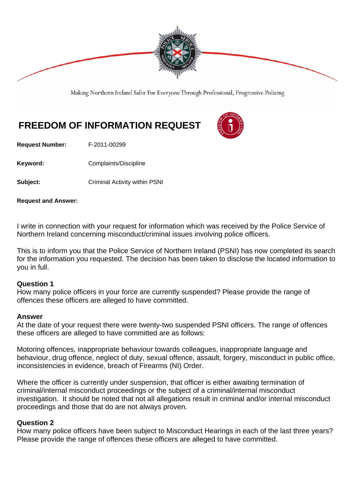

Making Northern Ireland Safer For Everyone Through Professional, Progressive Policing

# **FREEDOM OF INFORMATION REQUEST**

**Request Number:** F-2011-00299

Keyword: **Complaints/Discipline** 

**Subject:** Criminal Activity within PSNI

**Request and Answer:** 

I write in connection with your request for information which was received by the Police Service of Northern Ireland concerning misconduct/criminal issues involving police officers.

This is to inform you that the Police Service of Northern Ireland (PSNI) has now completed its search for the information you requested. The decision has been taken to disclose the located information to you in full.

#### **Question 1**

How many police officers in your force are currently suspended? Please provide the range of offences these officers are alleged to have committed.

#### **Answer**

At the date of your request there were twenty-two suspended PSNI officers. The range of offences these officers are alleged to have committed are as follows:

Motoring offences, inappropriate behaviour towards colleagues, inappropriate language and behaviour, drug offence, neglect of duty, sexual offence, assault, forgery, misconduct in public office, inconsistencies in evidence, breach of Firearms (NI) Order.

Where the officer is currently under suspension, that officer is either awaiting termination of criminal/internal misconduct proceedings or the subject of a criminal/internal misconduct investigation. It should be noted that not all allegations result in criminal and/or internal misconduct proceedings and those that do are not always proven.

## **Question 2**

How many police officers have been subject to Misconduct Hearings in each of the last three years? Please provide the range of offences these officers are alleged to have committed.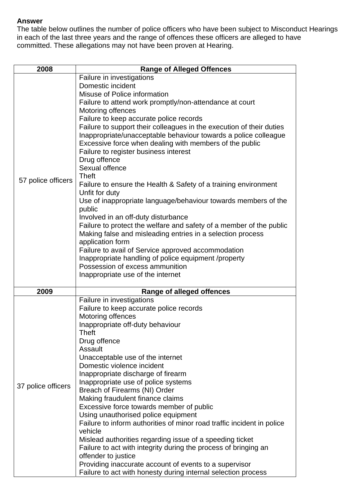## **Answer**

The table below outlines the number of police officers who have been subject to Misconduct Hearings in each of the last three years and the range of offences these officers are alleged to have committed. These allegations may not have been proven at Hearing.

| 2008               | <b>Range of Alleged Offences</b>                                                                              |
|--------------------|---------------------------------------------------------------------------------------------------------------|
|                    | Failure in investigations                                                                                     |
|                    | Domestic incident                                                                                             |
|                    | Misuse of Police information                                                                                  |
|                    | Failure to attend work promptly/non-attendance at court                                                       |
|                    | Motoring offences                                                                                             |
|                    | Failure to keep accurate police records                                                                       |
|                    | Failure to support their colleagues in the execution of their duties                                          |
|                    | Inappropriate/unacceptable behaviour towards a police colleague                                               |
|                    | Excessive force when dealing with members of the public                                                       |
|                    | Failure to register business interest                                                                         |
|                    | Drug offence                                                                                                  |
|                    | Sexual offence                                                                                                |
| 57 police officers | <b>Theft</b>                                                                                                  |
|                    | Failure to ensure the Health & Safety of a training environment                                               |
|                    | Unfit for duty                                                                                                |
|                    | Use of inappropriate language/behaviour towards members of the                                                |
|                    | public                                                                                                        |
|                    | Involved in an off-duty disturbance                                                                           |
|                    | Failure to protect the welfare and safety of a member of the public                                           |
|                    | Making false and misleading entries in a selection process                                                    |
|                    | application form                                                                                              |
|                    | Failure to avail of Service approved accommodation                                                            |
|                    | Inappropriate handling of police equipment /property                                                          |
|                    | Possession of excess ammunition                                                                               |
|                    | Inappropriate use of the internet                                                                             |
| 2009               | <b>Range of alleged offences</b>                                                                              |
|                    | Failure in investigations                                                                                     |
|                    | Failure to keep accurate police records                                                                       |
|                    | Motoring offences                                                                                             |
|                    | Inappropriate off-duty behaviour                                                                              |
|                    | Theft                                                                                                         |
|                    | Drug offence                                                                                                  |
|                    | Assault                                                                                                       |
|                    | Unacceptable use of the internet                                                                              |
|                    | Domestic violence incident                                                                                    |
|                    | Inappropriate discharge of firearm                                                                            |
| 37 police officers | Inappropriate use of police systems                                                                           |
|                    | Breach of Firearms (NI) Order                                                                                 |
|                    | Making fraudulent finance claims                                                                              |
|                    | Excessive force towards member of public                                                                      |
|                    | Using unauthorised police equipment<br>Failure to inform authorities of minor road traffic incident in police |
|                    | vehicle                                                                                                       |
|                    | Mislead authorities regarding issue of a speeding ticket                                                      |
|                    | Failure to act with integrity during the process of bringing an                                               |
|                    | offender to justice                                                                                           |
|                    | Providing inaccurate account of events to a supervisor                                                        |
|                    | Failure to act with honesty during internal selection process                                                 |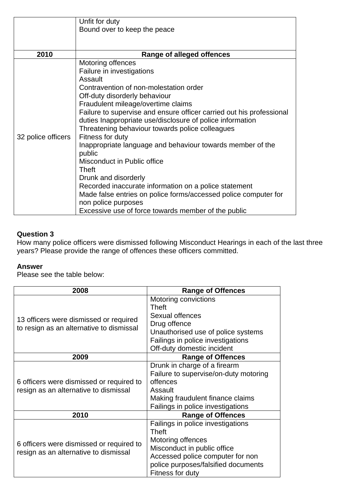|                    | Unfit for duty<br>Bound over to keep the peace                                                                                                                                                                                                                                                                                                                                                                                                                                                                                                                                                                                                                                           |
|--------------------|------------------------------------------------------------------------------------------------------------------------------------------------------------------------------------------------------------------------------------------------------------------------------------------------------------------------------------------------------------------------------------------------------------------------------------------------------------------------------------------------------------------------------------------------------------------------------------------------------------------------------------------------------------------------------------------|
|                    |                                                                                                                                                                                                                                                                                                                                                                                                                                                                                                                                                                                                                                                                                          |
| 2010               | <b>Range of alleged offences</b>                                                                                                                                                                                                                                                                                                                                                                                                                                                                                                                                                                                                                                                         |
| 32 police officers | <b>Motoring offences</b><br>Failure in investigations<br>Assault<br>Contravention of non-molestation order<br>Off-duty disorderly behaviour<br>Fraudulent mileage/overtime claims<br>Failure to supervise and ensure officer carried out his professional<br>duties Inappropriate use/disclosure of police information<br>Threatening behaviour towards police colleagues<br>Fitness for duty<br>Inappropriate language and behaviour towards member of the<br>public<br>Misconduct in Public office<br>Theft<br>Drunk and disorderly<br>Recorded inaccurate information on a police statement<br>Made false entries on police forms/accessed police computer for<br>non police purposes |
|                    | Excessive use of force towards member of the public                                                                                                                                                                                                                                                                                                                                                                                                                                                                                                                                                                                                                                      |

# **Question 3**

How many police officers were dismissed following Misconduct Hearings in each of the last three years? Please provide the range of offences these officers committed.

## **Answer**

Please see the table below:

| 2008                                     | <b>Range of Offences</b>              |
|------------------------------------------|---------------------------------------|
|                                          | Motoring convictions                  |
|                                          | <b>Theft</b>                          |
| 13 officers were dismissed or required   | Sexual offences                       |
| to resign as an alternative to dismissal | Drug offence                          |
|                                          | Unauthorised use of police systems    |
|                                          | Failings in police investigations     |
|                                          | Off-duty domestic incident            |
| 2009                                     | <b>Range of Offences</b>              |
|                                          | Drunk in charge of a firearm          |
|                                          | Failure to supervise/on-duty motoring |
| 6 officers were dismissed or required to | offences                              |
| resign as an alternative to dismissal    | Assault                               |
|                                          | Making fraudulent finance claims      |
|                                          | Failings in police investigations     |
| 2010                                     | <b>Range of Offences</b>              |
|                                          | Failings in police investigations     |
|                                          | Theft                                 |
| 6 officers were dismissed or required to | Motoring offences                     |
| resign as an alternative to dismissal    | Misconduct in public office           |
|                                          | Accessed police computer for non      |
|                                          | police purposes/falsified documents   |
|                                          | Fitness for duty                      |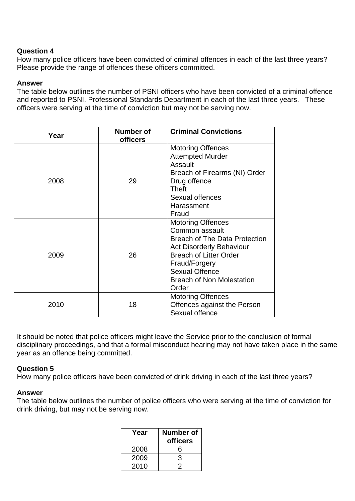## **Question 4**

How many police officers have been convicted of criminal offences in each of the last three years? Please provide the range of offences these officers committed.

## **Answer**

The table below outlines the number of PSNI officers who have been convicted of a criminal offence and reported to PSNI, Professional Standards Department in each of the last three years. These officers were serving at the time of conviction but may not be serving now.

| Year | Number of<br>officers | <b>Criminal Convictions</b>                                                                                                                                                                                                                   |
|------|-----------------------|-----------------------------------------------------------------------------------------------------------------------------------------------------------------------------------------------------------------------------------------------|
| 2008 | 29                    | <b>Motoring Offences</b><br><b>Attempted Murder</b><br>Assault<br>Breach of Firearms (NI) Order<br>Drug offence<br>Theft<br>Sexual offences<br>Harassment<br>Fraud                                                                            |
| 2009 | 26                    | <b>Motoring Offences</b><br>Common assault<br><b>Breach of The Data Protection</b><br><b>Act Disorderly Behaviour</b><br><b>Breach of Litter Order</b><br>Fraud/Forgery<br><b>Sexual Offence</b><br><b>Breach of Non Molestation</b><br>Order |
| 2010 | 18                    | <b>Motoring Offences</b><br>Offences against the Person<br>Sexual offence                                                                                                                                                                     |

It should be noted that police officers might leave the Service prior to the conclusion of formal disciplinary proceedings, and that a formal misconduct hearing may not have taken place in the same year as an offence being committed.

## **Question 5**

How many police officers have been convicted of drink driving in each of the last three years?

## **Answer**

The table below outlines the number of police officers who were serving at the time of conviction for drink driving, but may not be serving now.

| Year | Number of<br><b>officers</b> |
|------|------------------------------|
| 2008 | հ                            |
| 2009 | 3                            |
| 2010 |                              |